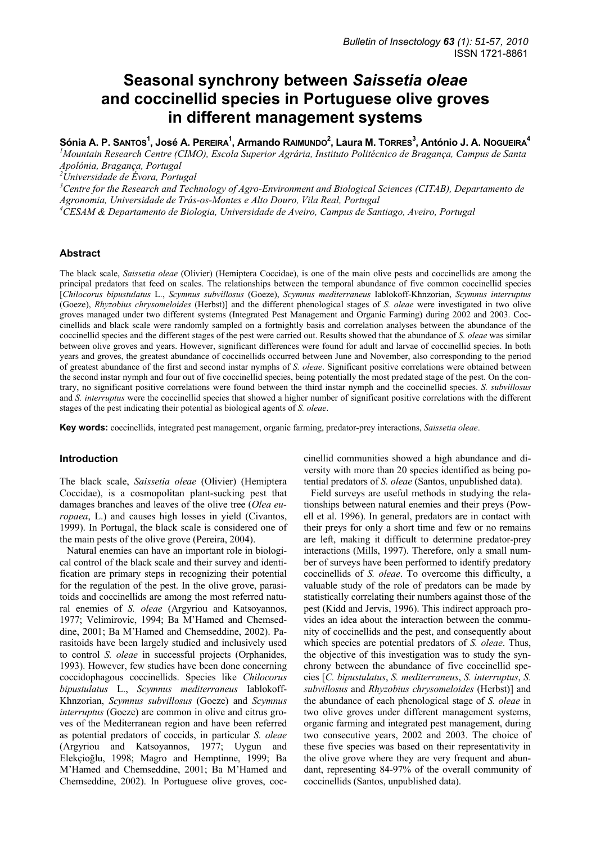# **Seasonal synchrony between** *Saissetia oleae*  **and coccinellid species in Portuguese olive groves in different management systems**

Sónia A. P. Santos<sup>1</sup>, José A. Pereira<sup>1</sup>, Armando Raimundo<sup>2</sup>, Laura M. Torres<sup>3</sup>, António J. A. Nogueira<sup>4</sup>

<sup>1</sup> Mountain Research Centre (CIMO), Escola Superior Agrária, Instituto Politécnico de Bragança, Campus de Santa *Apolónia, Bragança, Portugal* 

*2 Universidade de Évora, Portugal* 

<sup>3</sup> Centre for the Research and Technology of Agro-Environment and Biological Sciences (CITAB), Departamento de *Agronomia, Universidade de Trás-os-Montes e Alto Douro, Vila Real, Portugal 4 CESAM & Departamento de Biologia, Universidade de Aveiro, Campus de Santiago, Aveiro, Portugal* 

# **Abstract**

The black scale, *Saissetia oleae* (Olivier) (Hemiptera Coccidae), is one of the main olive pests and coccinellids are among the principal predators that feed on scales. The relationships between the temporal abundance of five common coccinellid species [*Chilocorus bipustulatus* L., *Scymnus subvillosus* (Goeze), *Scymnus mediterraneus* Iablokoff-Khnzorian, *Scymnus interruptus*  (Goeze), *Rhyzobius chrysomeloides* (Herbst)] and the different phenological stages of *S. oleae* were investigated in two olive groves managed under two different systems (Integrated Pest Management and Organic Farming) during 2002 and 2003. Coccinellids and black scale were randomly sampled on a fortnightly basis and correlation analyses between the abundance of the coccinellid species and the different stages of the pest were carried out. Results showed that the abundance of *S. oleae* was similar between olive groves and years. However, significant differences were found for adult and larvae of coccinellid species. In both years and groves, the greatest abundance of coccinellids occurred between June and November, also corresponding to the period of greatest abundance of the first and second instar nymphs of *S. oleae*. Significant positive correlations were obtained between the second instar nymph and four out of five coccinellid species, being potentially the most predated stage of the pest. On the contrary, no significant positive correlations were found between the third instar nymph and the coccinellid species. *S. subvillosus* and *S. interruptus* were the coccinellid species that showed a higher number of significant positive correlations with the different stages of the pest indicating their potential as biological agents of *S. oleae*.

**Key words:** coccinellids, integrated pest management, organic farming, predator-prey interactions, *Saissetia oleae*.

## **Introduction**

The black scale, *Saissetia oleae* (Olivier) (Hemiptera Coccidae), is a cosmopolitan plant-sucking pest that damages branches and leaves of the olive tree (*Olea europaea*, L.) and causes high losses in yield (Civantos, 1999). In Portugal, the black scale is considered one of the main pests of the olive grove (Pereira, 2004).

Natural enemies can have an important role in biological control of the black scale and their survey and identification are primary steps in recognizing their potential for the regulation of the pest. In the olive grove, parasitoids and coccinellids are among the most referred natural enemies of *S. oleae* (Argyriou and Katsoyannos, 1977; Velimirovic, 1994; Ba M'Hamed and Chemseddine, 2001; Ba M'Hamed and Chemseddine, 2002). Parasitoids have been largely studied and inclusively used to control *S. oleae* in successful projects (Orphanides, 1993). However, few studies have been done concerning coccidophagous coccinellids. Species like *Chilocorus bipustulatus* L., *Scymnus mediterraneus* Iablokoff-Khnzorian, *Scymnus subvillosus* (Goeze) and *Scymnus interruptus* (Goeze) are common in olive and citrus groves of the Mediterranean region and have been referred as potential predators of coccids, in particular *S. oleae*  (Argyriou and Katsoyannos, 1977; Uygun and Elekçioğlu, 1998; Magro and Hemptinne, 1999; Ba M'Hamed and Chemseddine, 2001; Ba M'Hamed and Chemseddine, 2002). In Portuguese olive groves, coccinellid communities showed a high abundance and diversity with more than 20 species identified as being potential predators of *S. oleae* (Santos, unpublished data).

Field surveys are useful methods in studying the relationships between natural enemies and their preys (Powell et al. 1996). In general, predators are in contact with their preys for only a short time and few or no remains are left, making it difficult to determine predator-prey interactions (Mills, 1997). Therefore, only a small number of surveys have been performed to identify predatory coccinellids of *S. oleae*. To overcome this difficulty, a valuable study of the role of predators can be made by statistically correlating their numbers against those of the pest (Kidd and Jervis, 1996). This indirect approach provides an idea about the interaction between the community of coccinellids and the pest, and consequently about which species are potential predators of *S. oleae*. Thus, the objective of this investigation was to study the synchrony between the abundance of five coccinellid species [*C. bipustulatus*, *S. mediterraneus*, *S. interruptus*, *S. subvillosus* and *Rhyzobius chrysomeloides* (Herbst)] and the abundance of each phenological stage of *S. oleae* in two olive groves under different management systems, organic farming and integrated pest management, during two consecutive years, 2002 and 2003. The choice of these five species was based on their representativity in the olive grove where they are very frequent and abundant, representing 84-97% of the overall community of coccinellids (Santos, unpublished data).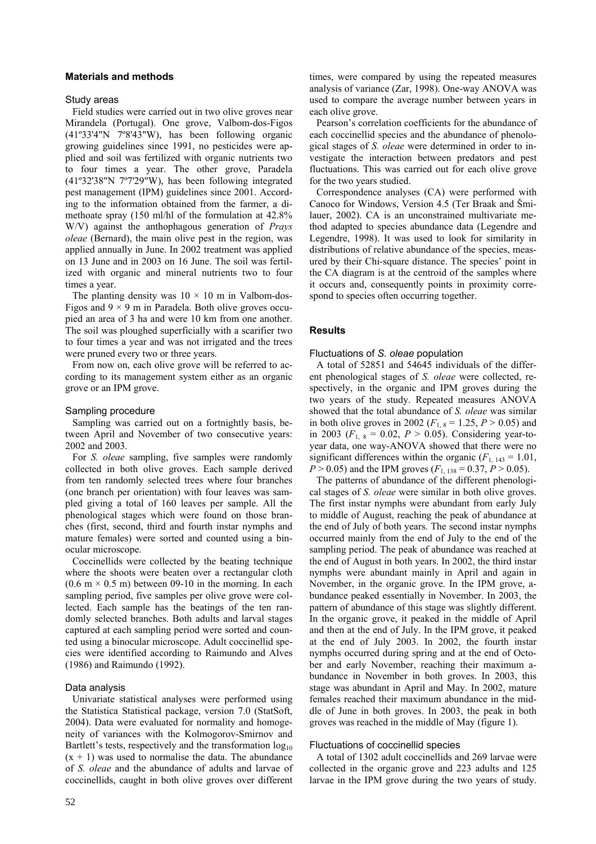# **Materials and methods**

#### Study areas

Field studies were carried out in two olive groves near Mirandela (Portugal). One grove, Valbom-dos-Figos (41º33'4"N 7º8'43"W), has been following organic growing guidelines since 1991, no pesticides were applied and soil was fertilized with organic nutrients two to four times a year. The other grove, Paradela (41º32'38"N 7º7'29"W), has been following integrated pest management (IPM) guidelines since 2001. According to the information obtained from the farmer, a dimethoate spray (150 ml/hl of the formulation at 42.8% W/V) against the anthophagous generation of *Prays oleae* (Bernard), the main olive pest in the region, was applied annually in June. In 2002 treatment was applied on 13 June and in 2003 on 16 June. The soil was fertilized with organic and mineral nutrients two to four times a year.

The planting density was  $10 \times 10$  m in Valbom-dos-Figos and  $9 \times 9$  m in Paradela. Both olive groves occupied an area of 3 ha and were 10 km from one another. The soil was ploughed superficially with a scarifier two to four times a year and was not irrigated and the trees were pruned every two or three years.

From now on, each olive grove will be referred to according to its management system either as an organic grove or an IPM grove.

# Sampling procedure

Sampling was carried out on a fortnightly basis, between April and November of two consecutive years: 2002 and 2003.

For *S. oleae* sampling, five samples were randomly collected in both olive groves. Each sample derived from ten randomly selected trees where four branches (one branch per orientation) with four leaves was sampled giving a total of 160 leaves per sample. All the phenological stages which were found on those branches (first, second, third and fourth instar nymphs and mature females) were sorted and counted using a binocular microscope.

Coccinellids were collected by the beating technique where the shoots were beaten over a rectangular cloth  $(0.6 \text{ m} \times 0.5 \text{ m})$  between 09-10 in the morning. In each sampling period, five samples per olive grove were collected. Each sample has the beatings of the ten randomly selected branches. Both adults and larval stages captured at each sampling period were sorted and counted using a binocular microscope. Adult coccinellid species were identified according to Raimundo and Alves (1986) and Raimundo (1992).

## Data analysis

Univariate statistical analyses were performed using the Statistica Statistical package, version 7.0 (StatSoft, 2004). Data were evaluated for normality and homogeneity of variances with the Kolmogorov-Smirnov and Bartlett's tests, respectively and the transformation  $log_{10}$  $(x + 1)$  was used to normalise the data. The abundance of *S. oleae* and the abundance of adults and larvae of coccinellids, caught in both olive groves over different times, were compared by using the repeated measures analysis of variance (Zar, 1998). One-way ANOVA was used to compare the average number between years in each olive grove.

Pearson's correlation coefficients for the abundance of each coccinellid species and the abundance of phenological stages of *S. oleae* were determined in order to investigate the interaction between predators and pest fluctuations. This was carried out for each olive grove for the two years studied.

Correspondence analyses (CA) were performed with Canoco for Windows, Version 4.5 (Ter Braak and Šmilauer, 2002). CA is an unconstrained multivariate method adapted to species abundance data (Legendre and Legendre, 1998). It was used to look for similarity in distributions of relative abundance of the species, measured by their Chi-square distance. The species' point in the CA diagram is at the centroid of the samples where it occurs and, consequently points in proximity correspond to species often occurring together.

## **Results**

## Fluctuations of *S. oleae* population

A total of 52851 and 54645 individuals of the different phenological stages of *S. oleae* were collected, respectively, in the organic and IPM groves during the two years of the study. Repeated measures ANOVA showed that the total abundance of *S. oleae* was similar in both olive groves in 2002 ( $F_{1, 8} = 1.25, P > 0.05$ ) and in 2003 ( $F_{1,8} = 0.02$ ,  $P > 0.05$ ). Considering year-toyear data, one way-ANOVA showed that there were no significant differences within the organic  $(F<sub>1, 143</sub> = 1.01$ ,  $P > 0.05$ ) and the IPM groves  $(F_{1,138} = 0.37, P > 0.05)$ .

The patterns of abundance of the different phenological stages of *S. oleae* were similar in both olive groves. The first instar nymphs were abundant from early July to middle of August, reaching the peak of abundance at the end of July of both years. The second instar nymphs occurred mainly from the end of July to the end of the sampling period. The peak of abundance was reached at the end of August in both years. In 2002, the third instar nymphs were abundant mainly in April and again in November, in the organic grove. In the IPM grove, abundance peaked essentially in November. In 2003, the pattern of abundance of this stage was slightly different. In the organic grove, it peaked in the middle of April and then at the end of July. In the IPM grove, it peaked at the end of July 2003. In 2002, the fourth instar nymphs occurred during spring and at the end of October and early November, reaching their maximum abundance in November in both groves. In 2003, this stage was abundant in April and May. In 2002, mature females reached their maximum abundance in the middle of June in both groves. In 2003, the peak in both groves was reached in the middle of May (figure 1).

### Fluctuations of coccinellid species

A total of 1302 adult coccinellids and 269 larvae were collected in the organic grove and 223 adults and 125 larvae in the IPM grove during the two years of study.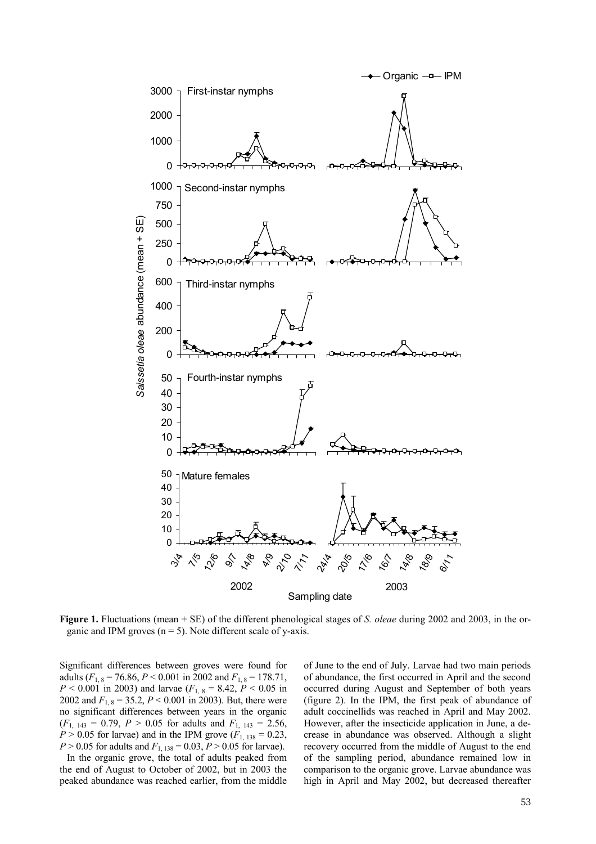

**Figure 1.** Fluctuations (mean + SE) of the different phenological stages of *S. oleae* during 2002 and 2003, in the organic and IPM groves  $(n = 5)$ . Note different scale of y-axis.

Significant differences between groves were found for adults  $(F_{1,8} = 76.86, P \le 0.001$  in 2002 and  $F_{1,8} = 178.71$ ,  $P < 0.001$  in 2003) and larvae ( $F_{1, 8} = 8.42, P < 0.05$  in 2002 and  $F_{1,8} = 35.2, P \le 0.001$  in 2003). But, there were no significant differences between years in the organic  $(F<sub>1, 143</sub> = 0.79, P > 0.05$  for adults and  $F<sub>1, 143</sub> = 2.56$ ,  $P > 0.05$  for larvae) and in the IPM grove ( $F_{1, 138} = 0.23$ , *P* > 0.05 for adults and  $F_{1, 138} = 0.03$ , *P* > 0.05 for larvae).

In the organic grove, the total of adults peaked from the end of August to October of 2002, but in 2003 the peaked abundance was reached earlier, from the middle

of June to the end of July. Larvae had two main periods of abundance, the first occurred in April and the second occurred during August and September of both years (figure 2). In the IPM, the first peak of abundance of adult coccinellids was reached in April and May 2002. However, after the insecticide application in June, a decrease in abundance was observed. Although a slight recovery occurred from the middle of August to the end of the sampling period, abundance remained low in comparison to the organic grove. Larvae abundance was high in April and May 2002, but decreased thereafter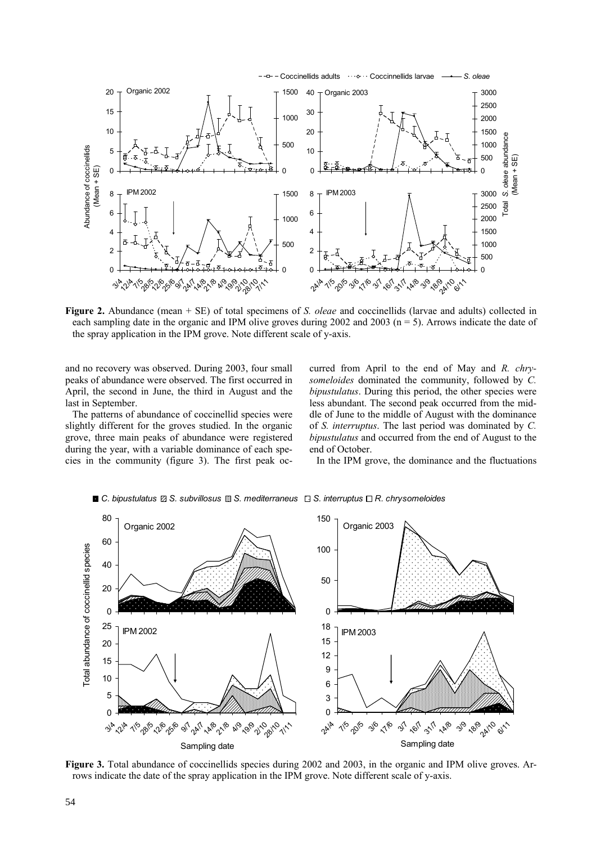

**Figure 2.** Abundance (mean + SE) of total specimens of *S. oleae* and coccinellids (larvae and adults) collected in each sampling date in the organic and IPM olive groves during 2002 and 2003 ( $n = 5$ ). Arrows indicate the date of the spray application in the IPM grove. Note different scale of y-axis.

and no recovery was observed. During 2003, four small peaks of abundance were observed. The first occurred in April, the second in June, the third in August and the last in September.

The patterns of abundance of coccinellid species were slightly different for the groves studied. In the organic grove, three main peaks of abundance were registered during the year, with a variable dominance of each species in the community (figure 3). The first peak occurred from April to the end of May and *R. chrysomeloides* dominated the community, followed by *C. bipustulatus*. During this period, the other species were less abundant. The second peak occurred from the middle of June to the middle of August with the dominance of *S. interruptus*. The last period was dominated by *C. bipustulatus* and occurred from the end of August to the end of October.

In the IPM grove, the dominance and the fluctuations



*C. bipustulatus S. subvillosus S. mediterraneus S. interruptus R. chrysomeloides*

**Figure 3.** Total abundance of coccinellids species during 2002 and 2003, in the organic and IPM olive groves. Arrows indicate the date of the spray application in the IPM grove. Note different scale of y-axis.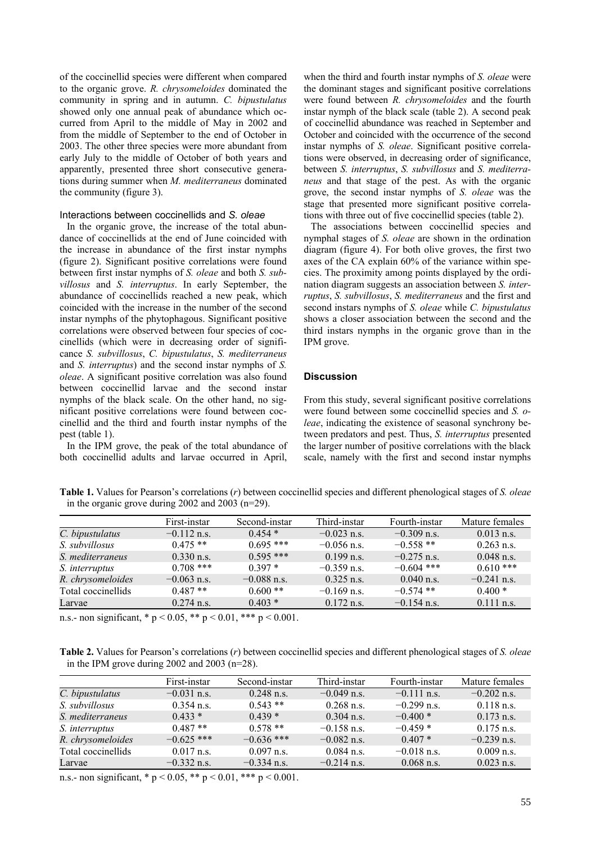of the coccinellid species were different when compared to the organic grove. *R. chrysomeloides* dominated the community in spring and in autumn. *C. bipustulatus* showed only one annual peak of abundance which occurred from April to the middle of May in 2002 and from the middle of September to the end of October in 2003. The other three species were more abundant from early July to the middle of October of both years and apparently, presented three short consecutive generations during summer when *M. mediterraneus* dominated the community (figure 3).

# Interactions between coccinellids and *S. oleae*

In the organic grove, the increase of the total abundance of coccinellids at the end of June coincided with the increase in abundance of the first instar nymphs (figure 2). Significant positive correlations were found between first instar nymphs of *S. oleae* and both *S. subvillosus* and *S. interruptus*. In early September, the abundance of coccinellids reached a new peak, which coincided with the increase in the number of the second instar nymphs of the phytophagous. Significant positive correlations were observed between four species of coccinellids (which were in decreasing order of significance *S. subvillosus*, *C. bipustulatus*, *S. mediterraneus* and *S. interruptus*) and the second instar nymphs of *S. oleae*. A significant positive correlation was also found between coccinellid larvae and the second instar nymphs of the black scale. On the other hand, no significant positive correlations were found between coccinellid and the third and fourth instar nymphs of the pest (table 1).

In the IPM grove, the peak of the total abundance of both coccinellid adults and larvae occurred in April,

when the third and fourth instar nymphs of *S. oleae* were the dominant stages and significant positive correlations were found between *R. chrysomeloides* and the fourth instar nymph of the black scale (table 2). A second peak of coccinellid abundance was reached in September and October and coincided with the occurrence of the second instar nymphs of *S. oleae*. Significant positive correlations were observed, in decreasing order of significance, between *S. interruptus*, *S. subvillosus* and *S. mediterraneus* and that stage of the pest. As with the organic grove, the second instar nymphs of *S. oleae* was the stage that presented more significant positive correlations with three out of five coccinellid species (table 2).

The associations between coccinellid species and nymphal stages of *S. oleae* are shown in the ordination diagram (figure 4). For both olive groves, the first two axes of the CA explain 60% of the variance within species. The proximity among points displayed by the ordination diagram suggests an association between *S. interruptus*, *S. subvillosus*, *S. mediterraneus* and the first and second instars nymphs of *S. oleae* while *C. bipustulatus* shows a closer association between the second and the third instars nymphs in the organic grove than in the IPM grove.

# **Discussion**

From this study, several significant positive correlations were found between some coccinellid species and *S. oleae*, indicating the existence of seasonal synchrony between predators and pest. Thus, *S. interruptus* presented the larger number of positive correlations with the black scale, namely with the first and second instar nymphs

**Table 1.** Values for Pearson's correlations (*r*) between coccinellid species and different phenological stages of *S. oleae*  in the organic grove during 2002 and 2003 (n=29).

|                    | First-instar         | Second-instar | Third-instar  | Fourth-instar | Mature females |
|--------------------|----------------------|---------------|---------------|---------------|----------------|
| C. bipustulatus    | $-0.112$ n.s.        | $0.454*$      | $-0.023$ n.s. | $-0.309$ n.s. | $0.013$ n.s.   |
| S. subvillosus     | $0.475**$            | $0.695$ ***   | $-0.056$ n.s. | $-0.558$ **   | $0.263$ n.s.   |
| S. mediterraneus   | $0.330 \text{ n.s.}$ | $0.595$ ***   | $0.199$ n.s.  | $-0.275$ n.s. | $0.048$ n.s.   |
| S. interruptus     | $0.708$ ***          | $0.397*$      | $-0.359$ n.s. | $-0.604$ ***  | $0.610***$     |
| R. chrysomeloides  | $-0.063$ n.s.        | $-0.088$ n.s. | $0.325$ n.s.  | $0.040$ n.s.  | $-0.241$ n.s.  |
| Total coccinellids | $0.487**$            | $0.600**$     | $-0.169$ n.s. | $-0.574$ **   | $0.400*$       |
| Larvae             | $0.274$ n.s.         | $0.403*$      | $0.172$ n.s.  | $-0.154$ n.s. | $0.111$ n.s.   |

n.s.- non significant,  $* p < 0.05$ ,  $** p < 0.01$ ,  $*** p < 0.001$ .

**Table 2.** Values for Pearson's correlations (*r*) between coccinellid species and different phenological stages of *S. oleae*  in the IPM grove during 2002 and 2003 (n=28).

|                    | First-instar  | Second-instar | Third-instar  | Fourth-instar | Mature females |
|--------------------|---------------|---------------|---------------|---------------|----------------|
| C. bipustulatus    | $-0.031$ n.s. | $0.248$ n.s.  | $-0.049$ n.s. | $-0.111$ n.s. | $-0.202$ n.s.  |
| S. subvillosus     | $0.354$ n.s.  | $0.543**$     | $0.268$ n.s.  | $-0.299$ n.s. | $0.118$ n.s.   |
| S. mediterraneus   | $0.433*$      | $0.439*$      | $0.304$ n.s.  | $-0.400*$     | $0.173$ n.s.   |
| S. interruptus     | $0.487**$     | $0.578**$     | $-0.158$ n.s. | $-0.459*$     | $0.175$ n.s.   |
| R. chrysomeloides  | $-0.625$ ***  | $-0.636$ ***  | $-0.082$ n.s. | $0.407*$      | $-0.239$ n.s.  |
| Total coccinellids | $0.017$ n.s.  | $0.097$ n.s.  | $0.084$ n.s.  | $-0.018$ n.s. | $0.009$ n.s.   |
| Larvae             | $-0.332$ n.s. | $-0.334$ n.s. | $-0.214$ n.s. | $0.068$ n.s.  | $0.023$ n.s.   |

n.s.- non significant,  $* p < 0.05$ ,  $** p < 0.01$ ,  $*** p < 0.001$ .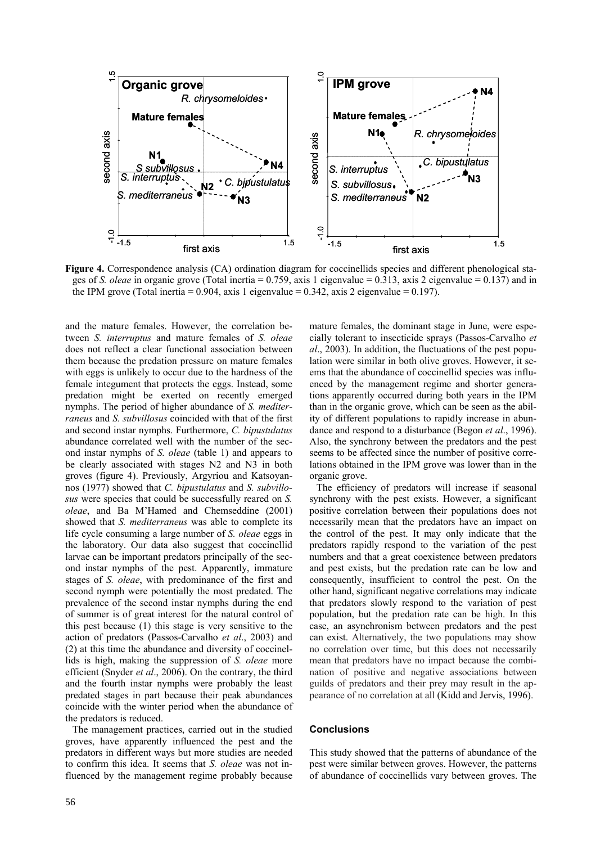

**Figure 4.** Correspondence analysis (CA) ordination diagram for coccinellids species and different phenological stages of *S. oleae* in organic grove (Total inertia = 0.759, axis 1 eigenvalue = 0.313, axis 2 eigenvalue = 0.137) and in the IPM grove (Total inertia =  $0.904$ , axis 1 eigenvalue =  $0.342$ , axis 2 eigenvalue =  $0.197$ ).

and the mature females. However, the correlation between *S. interruptus* and mature females of *S. oleae* does not reflect a clear functional association between them because the predation pressure on mature females with eggs is unlikely to occur due to the hardness of the female integument that protects the eggs. Instead, some predation might be exerted on recently emerged nymphs. The period of higher abundance of *S. mediterraneus* and *S. subvillosus* coincided with that of the first and second instar nymphs. Furthermore, *C. bipustulatus* abundance correlated well with the number of the second instar nymphs of *S. oleae* (table 1) and appears to be clearly associated with stages N2 and N3 in both groves (figure 4). Previously, Argyriou and Katsoyannos (1977) showed that *C. bipustulatus* and *S. subvillosus* were species that could be successfully reared on *S. oleae*, and Ba M'Hamed and Chemseddine (2001) showed that *S. mediterraneus* was able to complete its life cycle consuming a large number of *S. oleae* eggs in the laboratory. Our data also suggest that coccinellid larvae can be important predators principally of the second instar nymphs of the pest. Apparently, immature stages of *S. oleae*, with predominance of the first and second nymph were potentially the most predated. The prevalence of the second instar nymphs during the end of summer is of great interest for the natural control of this pest because (1) this stage is very sensitive to the action of predators (Passos-Carvalho *et al*., 2003) and (2) at this time the abundance and diversity of coccinellids is high, making the suppression of *S. oleae* more efficient (Snyder *et al*., 2006). On the contrary, the third and the fourth instar nymphs were probably the least predated stages in part because their peak abundances coincide with the winter period when the abundance of the predators is reduced.

The management practices, carried out in the studied groves, have apparently influenced the pest and the predators in different ways but more studies are needed to confirm this idea. It seems that *S. oleae* was not influenced by the management regime probably because mature females, the dominant stage in June, were especially tolerant to insecticide sprays (Passos-Carvalho *et al*., 2003). In addition, the fluctuations of the pest population were similar in both olive groves. However, it seems that the abundance of coccinellid species was influenced by the management regime and shorter generations apparently occurred during both years in the IPM than in the organic grove, which can be seen as the ability of different populations to rapidly increase in abundance and respond to a disturbance (Begon *et al*., 1996). Also, the synchrony between the predators and the pest seems to be affected since the number of positive correlations obtained in the IPM grove was lower than in the organic grove.

The efficiency of predators will increase if seasonal synchrony with the pest exists. However, a significant positive correlation between their populations does not necessarily mean that the predators have an impact on the control of the pest. It may only indicate that the predators rapidly respond to the variation of the pest numbers and that a great coexistence between predators and pest exists, but the predation rate can be low and consequently, insufficient to control the pest. On the other hand, significant negative correlations may indicate that predators slowly respond to the variation of pest population, but the predation rate can be high. In this case, an asynchronism between predators and the pest can exist. Alternatively, the two populations may show no correlation over time, but this does not necessarily mean that predators have no impact because the combination of positive and negative associations between guilds of predators and their prey may result in the appearance of no correlation at all (Kidd and Jervis, 1996).

# **Conclusions**

This study showed that the patterns of abundance of the pest were similar between groves. However, the patterns of abundance of coccinellids vary between groves. The